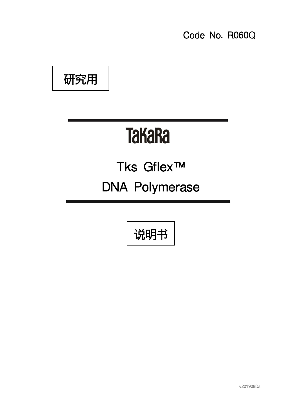Code No. R060Q

研究用

# **TaKaRa**

## Tks Gflex™ DNA Polymerase

说明书

Ξ

v201908Da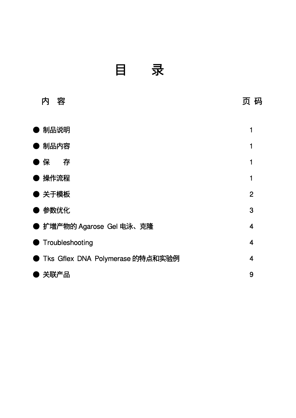目 录

| 容<br>内                           | 页 码            |
|----------------------------------|----------------|
| )制品说明                            |                |
|                                  |                |
| 制品内容                             | 1              |
| 存<br>保                           | 1              |
| 操作流程                             | 1              |
| )关于模板                            | $\overline{2}$ |
| 参数优化                             | 3              |
| ● 扩增产物的 Agarose Gel 电泳、克隆        | 4              |
| Troubleshooting                  | 4              |
| Tks Gflex DNA Polymerase 的特点和实验例 | $\overline{4}$ |
| 关联产品                             | 9              |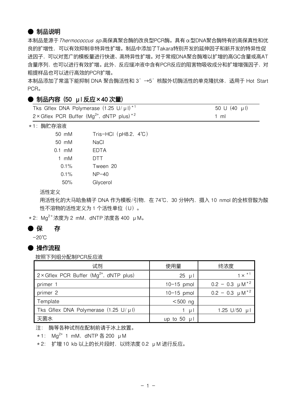#### ● 制品说明

本制品是源于Thermococcus sp.高保真聚合酶的改良型PCR酶。具有α型DNA聚合酶特有的高保真性和优 良的扩增性,可以有效抑制非特异性扩增。制品中添加了Takara特别开发的延伸因子和新开发的特异性促 进因子,可以对宽广的模板量进行快速、高特异性扩增。对于常规DNA聚合酶难以扩增的高GC含量或高AT 含量序列,也可以进行有效扩增。此外,反应缓冲液中含有PCR反应的阻害物吸收成分和扩增增强因子,对 粗提样品也可以进行高效的PCR扩增。

本制品添加了常温下能抑制 DNA 聚合酶活性和 3'→5'核酸外切酶活性的单克隆抗体,适用于 Hot Start PCR。

#### **● 制品内容 (50 µl 反应×40 次量)**

| Tks Gflex DNA Polymerase $(1.25 \text{ U}/\mu\text{I})^{*1}$ | 50 U (40 µl) |
|--------------------------------------------------------------|--------------|
| 2 × Gflex PCR Buffer ( $Mg^{2+}$ , dNTP plus) <sup>*2</sup>  | 1 ml         |

\*1:酶贮存溶液

| $50 \, \text{m}$ M | Tris-HCl $($ pH8.2, $4^{\circ}$ C) |
|--------------------|------------------------------------|
| $50 \, \text{m}$ M | NaCl                               |
| $0.1$ mM           | <b>FDTA</b>                        |
| 1 mM               | <b>DTT</b>                         |
| $0.1\%$            | Tween 20                           |
| $0.1\%$            | $NP-40$                            |
| 50%                | Glycerol                           |

活性定义

用活性化的大马哈鱼精子 DNA 作为模板/引物, 在 74℃, 30 分钟内, 摄入 10 nmol 的全核苷酸为酸 性不溶物的活性定义为 1 个活性单位 (U) 。

 $*2$ : Mg<sup>2+</sup>浓度为 2 mM, dNTP 浓度各 400  $\mu$  M。

#### ● 保 存

-20℃

#### ● 操作流程

按照下列组分配制PCR反应液

| 试剂                                                         | 使用量              | 终浓度                    |
|------------------------------------------------------------|------------------|------------------------|
| $2 \times$ Gilex PCR Buffer (Mg <sup>2+</sup> , dNTP plus) | $25 \mu$         | $1 \times$ $*1$        |
| primer 1                                                   | $10-15$ pmol     | $0.2 - 0.3 \mu M^{*2}$ |
| primer 2                                                   | $10-15$ pmol     | $0.2 - 0.3 \mu M^{*2}$ |
| Template                                                   | $<$ 500 ng       |                        |
| Tks Gflex DNA Polymerase $(1.25 \text{ U}/\mu\text{I})$    | -u l             | 1.25 $U/50$ µ          |
| 灭菌水                                                        | up to 50 $\mu$ 1 |                        |

注: 酶等各种试剂在配制前请于冰上放置。

 $*1$ : Mg<sup>2+</sup> 1 mM, dNTP  $\leq$  200 µM

\*2: 扩增 10 kb 以上的长片段时,以终浓度 0.2 μM 进行反应。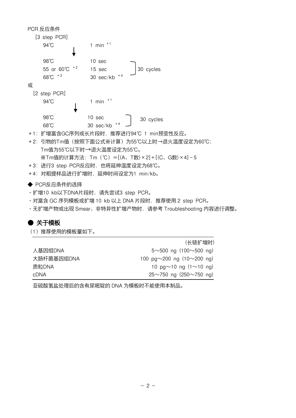PCR 反应条件 [3 step PCR] 94℃ 1 min <sup>\*1</sup> 98℃ 10 sec 55 or 60℃ \*2 15 sec 30 cycles 68℃ \*3  $30$  sec/kb 或 [2 step PCR] 94℃ 1 min <sup>\*1</sup> 98℃ 10 sec 68℃ 30 sec/kb \*4 \*1:扩增富含GC序列或长片段时,推荐进行94℃ 1 min预变性反应。 \*2:引物的Tm值(按照下面公式※计算)为55℃以上时→退火温度设定为60℃; Tm值为55℃以下时→退火温度设定为55℃。 ※Tm值的计算方法:Tm(℃)=[(A、T数)×2]+[(C、G数)×4]-5 \*3:进行3 step PCR反应时,也将延伸温度设定为68℃。 \*4:对粗提样品进行扩增时,延伸时间设定为1 min/kb。 **◆ PCR反应条件的选择** ·扩增10 kb以下DNA片段时,请先尝试3 step PCR。 30 cycles

- ·对富含 GC 序列模板或扩增 10 kb 以上 DNA 片段时,推荐使用 2 step PCR。
- ·无扩增产物或出现 Smear、非特异性扩增产物时,请参考 Troubleshooting 内容进行调整。

#### ● 关于模板

(1)推荐使用的模板量如下。

|            | (长链扩增时)                                 |
|------------|-----------------------------------------|
| 人基因组DNA    | $5 \sim 500$ ng (100 $\sim 500$ ng)     |
| 大肠杆菌基因组DNA | 100 pg $\sim$ 200 ng (10 $\sim$ 200 ng) |
| 质粒DNA      | 10 pg $\sim$ 10 ng (1 $\sim$ 10 ng)     |
| cDNA       | $25~10$ ng (250 $~10$ ng)               |

亚硫酸氢盐处理后的含有尿嘧啶的 DNA 为模板时不能使用本制品。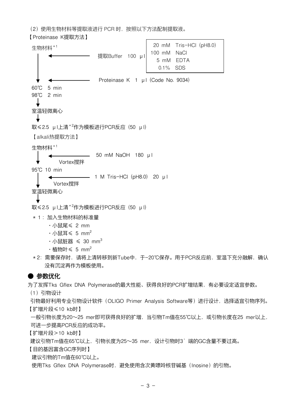(2)使用生物材料等提取液进行 PCR 时,按照以下方法配制提取液。

【Proteinase K提取方法】

生物材料\*1 提取Buffer 100 μl Proteinase K 1 μl (Code No. 9034) 60℃ 5 min 98℃ 2 min 室温轻微离心 取≤2.5 μl上清\*2作为模板进行PCR反应 (50 μl) 【alkali热提取方法】 生物材料\*1 50 mM NaOH 180 μl Vortex搅拌 95℃ 10 min 1 M Tris-HCI (pH8.0) 20 μl Vortex搅拌 室温轻微离心 取≤2.5 μl上清\*2作为模板进行PCR反应 (50 μl) \*1:加入生物材料的标准量 ·小鼠尾≤ 2 mm  $\cdot$ 小鼠耳 \ 5 mm<sup>2</sup>  $\cdot$  小鼠脏器  $\leqslant$  30 mm<sup>3</sup> • 植物叶  $\leq 5$  mm<sup>2</sup> 20 mM Tris-HCI (pH8.0) 100 mM NaCl 5 mM EDTA 0.1% SDS

\*2:需要保存时,请将上清转移到新Tube中,于-20℃保存。用于PCR反应前,室温下充分融解,确认 没有沉淀再作为模板使用。

#### ● 参数优化

为了发挥Tks Gflex DNA Polymerase的最大性能、获得良好的PCR扩增结果,有必要设定适宜参数。

(1)引物设计

引物最好利用专业引物设计软件 (OLIGO Primer Analysis Software等) 进行设计, 选择适宜引物序列。 【扩增片段≤10 kb时】

一般引物长度为20~25 mer即可获得良好的扩增,当引物Tm值在55℃以上,或引物长度在25 mer以上, 可进一步提高PCR反应的成功率。

【扩增片段>10 kb时】

建议引物Tm值在65℃以上,引物长度为25~35 mer,设计引物时3'端的GC含量不要过高。

【目的基因富含GC序列时】

建议引物的Tm值在60℃以上。

使用Tks Gflex DNA Polymerase时, 避免使用含次黄嘌呤核苷碱基 (Inosine) 的引物。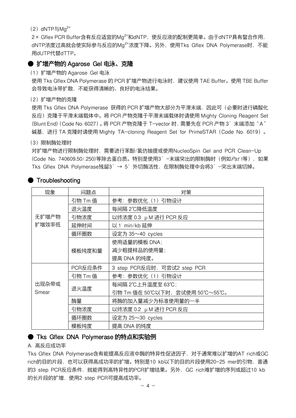(2)  $dNTP=Ma^{2+}$ 

2× Gflex PCR Buffer含有反应适宜的Mg<sup>2+</sup>和dNTP,使反应液的配制更简单。由于dNTP具有螯合作用, dNTP浓度过高就会使实际参与反应的Mg<sup>2+</sup>浓度下降。另外,使用Tks Gflex DNA Polymerase时, 不能 用dUTP代替dTTP。

#### **● 扩增产物的 Agarose Gel 电泳、克隆**

(1)扩增产物的 Agarose Gel 电泳

使用 Tks Gflex DNA Polymerase 的 PCR 扩增产物进行电泳时,建议使用 TAE Buffer。使用 TBE Buffer 会导致电泳带扩散,不能获得清晰的、良好的电泳结果。

(2)扩增产物的克隆

使用 Tks Gflex DNA Polymerase 获得的 PCR 扩增产物大部分为平滑末端, 因此可 (必要时进行磷酸化 反应)克隆于平滑末端载体中。将 PCR 产物克隆于平滑末端载体时请使用 Mighty Cloning Reagent Set (Blunt End) (Code No. 6027)。将 PCR 产物克隆于 T-vector 时, 需要先在 PCR 产物 3'末端添加"A" 碱基,进行 TA 克隆时请使用 Mighty TA-cloning Reagent Set for PrimeSTAR(Code No. 6019)。

(3)限制酶处理时

对扩增产物进行限制酶处理时,需要进行苯酚/氯仿抽提或使用NucleoSpin Gel and PCR Clean-Up (Code No. 740609.50/.250)等除去蛋白质。特别是使用3'-未端突出的限制酶时(例如Pst I等),如果 Tks Gflex DNA Polymerase残留3'→ 5'外切酶活性,在限制酶处理中会将3'-突出末端切掉。

| 现象                 | 问题点     | 对策                            |  |
|--------------------|---------|-------------------------------|--|
|                    | 引物 Tm 值 | 参考: 参数优化(1)引物设计               |  |
|                    | 退火温度    | 每间隔 2℃降低温度                    |  |
| 无扩增产物              | 引物浓度    | 以终浓度 0.3 μM 进行 PCR 反应         |  |
| 扩增效率低              | 延伸时间    | 以1 min/kb延伸                   |  |
|                    | 循环圈数    | 设定为 35~40 cycles              |  |
|                    |         | 使用适量的模板 DNA;                  |  |
|                    | 模板纯度和量  | 减少粗提样品的使用量;                   |  |
|                    |         | 提高 DNA 的纯度。                   |  |
| PCR反应条件<br>引物 Tm 值 |         | 3 step PCR反应时, 可尝试2 step PCR  |  |
|                    |         | 参考:参数优化(1)引物设计                |  |
| 出现杂带或              | 退火温度    | 每间隔 2℃上升温度至 63℃;              |  |
| Smear              |         | 引物 Tm 值在 50℃以下时,尝试使用 50℃~55℃。 |  |
|                    | 酶量      | 将酶的加入量减少为标准使用量的一半             |  |
|                    | 引物浓度    | 以终浓度 0.2 μM 进行 PCR 反应         |  |
|                    | 循环圈数    | 设定为 25~30 cycles              |  |
|                    | 模板纯度    | 提高 DNA 的纯度                    |  |

#### **Troubleshooting**

#### ● Tks Gflex DNA Polymerase 的特点和实验例

#### A. 高反应成功率

Tks Gflex DNA Polymerase含有能提高反应液中酶的特异性促进因子,对于通常难以扩增的AT rich或GC rich的目的片段,也可以获得高成功率的扩增。特别是10 kb以下的目的片段使用20-25 mer的引物,普通 的3 step PCR反应条件,就能得到高特异性的PCR扩增结果。另外,GC rich难扩增的序列或超过10 kb 的长片段的扩增,使用2 step PCR可提高成功率。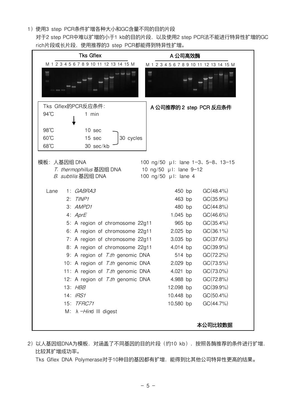1)使用3 step PCR条件扩增各种大小和GC含量不同的目的片段

对于2 step PCR中难以扩增的小于1 kb的目的片段, 以及使用2 step PCR法不能进行特异性扩增的GC rich片段或长片段,使用推荐的3 step PCR都能得到特异性扩增。



2)以人基因组DNA为模板,对涵盖了不同基因的目的片段(约10 kb), 按照各酶推荐的条件进行扩增, 比较其扩增成功率。

Tks Gflex DNA Polymerase对于10种目的基因都有扩增,能得到比其他公司特异性更高的结果。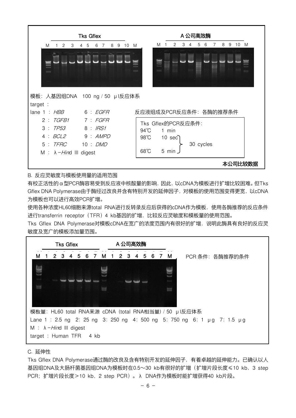

#### B. 反应灵敏度与模板使用量的适用范围

有校正活性的α型PCR酶容易受到反应液中核酸量的影响,因此,以cDNA为模板进行扩增比较困难。但Tks Gflex DNA Polymerase由于酶经过改良并含有特别开发的延伸因子,对模板的使用范围变得更宽,以cDNA 为模板也可以进行高效PCR扩增。

使用各种浓度HL60细胞来源total RNA进行反转录反应后获得的cDNA作为模板,使用各酶推荐的反应条件 进行transferrin receptor(TFR)4 kb基因的扩增,比较反应灵敏度和模板量的使用范围。

Tks Gflex DNA Polymerase对模板cDNA在宽广的浓度范围内有很好的扩增, 说明此酶具有良好的反应灵 敏度及宽广的模板添加量范围。



#### C. 延伸性

Tks Gflex DNA Polymerase通过酶的改良及含有特别开发的延伸因子,有着卓越的延伸能力。已确认以人 基因组DNA及大肠杆菌基因组DNA为模板时在0.5~30 kb有很好的扩增(扩增片段长度≤10 kb, 3 step PCR;扩增片段长度>10 kb,2 step PCR)。λ DNA作为模板时能扩增获得40 kb片段。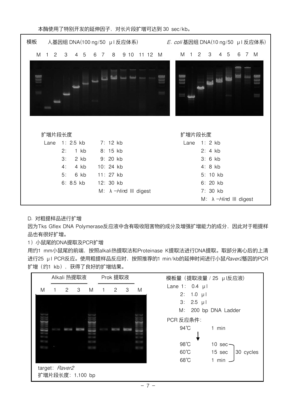| 模板                                          | 人基因组 DNA(100 ng/50 $\,$ µ l 反应体系) $\,$ | E. coli 基因组 DNA(10 ng/50 µ l 反应体系)        |
|---------------------------------------------|----------------------------------------|-------------------------------------------|
| M<br>$\overline{2}$<br>4 5<br>6 7<br>3<br>1 | M 1 2 3<br>8<br>9 10 11 12 M           | 4 5<br>6<br>7 M                           |
|                                             |                                        |                                           |
| 扩增片段长度                                      | 扩增片段长度                                 |                                           |
| 1: 2.5 kb<br>Lane                           | 7: 12 kb<br>Lane                       | 1:2kb                                     |
| 2:<br>$1$ $kb$                              | 8: 15 kb                               | 2:4kb                                     |
| 3:<br>2 kb                                  | 9: 20 kb                               | 3:6kb                                     |
| 4:<br>4 kb                                  | 10: 24 kb                              | 4:8kb                                     |
| 5:<br>6 kb                                  | 11: 27 kb                              | 5: 10 kb                                  |
| $6: 8.5$ kb                                 | 12: 30 kb                              | 6: 20 kb                                  |
|                                             | M: $\lambda$ -Hind III digest          | 7: 30 kb<br>M: $\lambda$ -Hind III digest |
|                                             |                                        |                                           |

本酶使用了特别开发的延伸因子,对长片段扩增可达到 30 sec/kb。

#### D. 对粗提样品进行扩增

因为Tks Gflex DNA Polymerase反应液中含有吸收阻害物的成分及增强扩增能力的成分,因此对于粗提样 品也有很好扩增。

#### 1)小鼠尾的DNA提取及PCR扩增

用约1 mm小鼠尾的前端,按照alkali热提取法和Proteinase K提取法进行DNA提取。取部分离心后的上清 进行25 μl PCR反应。使用粗提样品反应时,按照推荐的1 min/kb的延伸时间进行小鼠*Raver2*基因的PCR 扩增(约1 kb),获得了良好的扩增结果。

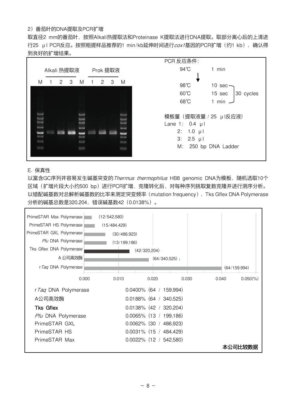#### 2)番茄叶的DNA提取及PCR扩增

取直径2 mm的番茄叶,按照Alkali热提取法和Proteinase K提取法进行DNA提取。取部分离心后的上清进 行25 μl PCR反应。按照粗提样品推荐的1 min/kb延伸时间进行cox1基因的PCR扩增(约1 kb),确认得 到良好的扩增结果。



#### E. 保真性

以富含GC序列并容易发生碱基突变的 Thermus thermophilus HB8 genomic DNA为模板,随机选取10个 区域(扩增片段大小约500 bp)进行PCR扩增,克隆转化后,对每种序列挑取复数克隆并进行测序分析。 以错配碱基数对总解析碱基数的比率来测定突变频率 (mutation frequency), Tks Gflex DNA Polymerase 分析的碱基总数是320,204,错误碱基数42(0.0138%)。

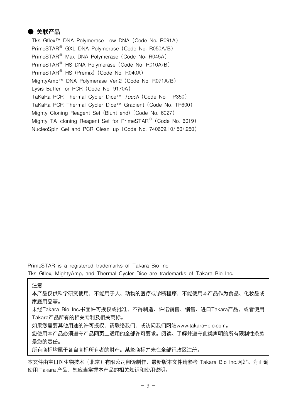#### ● 关联产品

Tks Gflex™ DNA Polymerase Low DNA(Code No. R091A) PrimeSTAR<sup>®</sup> GXL DNA Polymerase (Code No. R050A/B) PrimeSTAR® Max DNA Polymerase(Code No. R045A) PrimeSTAR<sup>®</sup> HS DNA Polymerase (Code No. R010A/B) PrimeSTAR<sup>®</sup> HS (Premix) (Code No. R040A) MightyAmp™ DNA Polymerase Ver.2(Code No. R071A/B) Lysis Buffer for PCR(Code No. 9170A) TaKaRa PCR Thermal Cycler Dice™ Touch (Code No. TP350) TaKaRa PCR Thermal Cycler Dice™ Gradient (Code No. TP600) Mighty Cloning Reagent Set (Blunt end)(Code No. 6027) Mighty TA-cloning Reagent Set for PrimeSTAR<sup>®</sup> (Code No. 6019) NucleoSpin Gel and PCR Clean-up(Code No. 740609.10/.50/.250)

PrimeSTAR is a registered trademarks of Takara Bio Inc.

Tks Gflex, MightyAmp, and Thermal Cycler Dice are trademarks of Takara Bio Inc.

注意

本产品仅供科学研究使用,不能用于人、动物的医疗或诊断程序,不能使用本产品作为食品、化妆品或 家庭用品等。

未经Takara Bio Inc.书面许可授权或批准,不得制造、许诺销售、销售、进口Takara产品,或者使用 Takara产品所有的相关专利及相关商标。

如果您需要其他用途的许可授权,请联络我们,或访问我们网站www.takara-bio.com。

您使用本产品必须遵守产品网页上适用的全部许可要求。阅读、了解并遵守此类声明的所有限制性条款 是您的责任。

所有商标均属于各自商标所有者的财产。某些商标并未在全部行政区注册。

本文件由宝日医生物技术(北京)有限公司翻译制作, 最新版本文件请参考 Takara Bio Inc.网站。为正确 使用 Takara 产品,您应当掌握本产品的相关知识和使用说明。